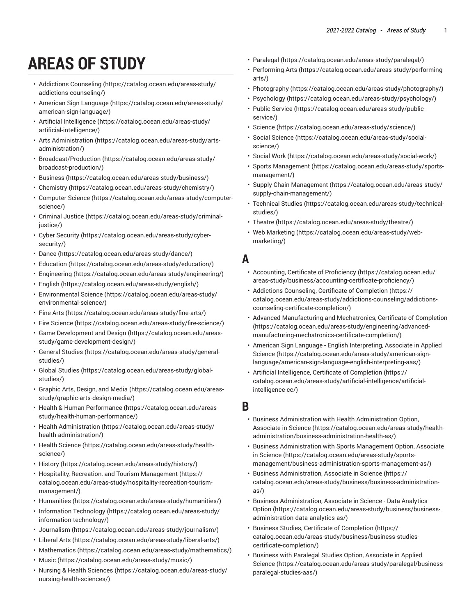# **AREAS OF STUDY**

- [Addictions Counseling \(https://catalog.ocean.edu/areas-study/](https://catalog.ocean.edu/areas-study/addictions-counseling/) [addictions-counseling/\)](https://catalog.ocean.edu/areas-study/addictions-counseling/)
- [American Sign Language \(https://catalog.ocean.edu/areas-study/](https://catalog.ocean.edu/areas-study/american-sign-language/) [american-sign-language/\)](https://catalog.ocean.edu/areas-study/american-sign-language/)
- Artificial [Intelligence](https://catalog.ocean.edu/areas-study/artificial-intelligence/) [\(https://catalog.ocean.edu/areas-study/](https://catalog.ocean.edu/areas-study/artificial-intelligence/) [artificial-intelligence/\)](https://catalog.ocean.edu/areas-study/artificial-intelligence/)
- Arts [Administration](https://catalog.ocean.edu/areas-study/arts-administration/) ([https://catalog.ocean.edu/areas-study/arts](https://catalog.ocean.edu/areas-study/arts-administration/)[administration/\)](https://catalog.ocean.edu/areas-study/arts-administration/)
- [Broadcast/Production \(https://catalog.ocean.edu/areas-study/](https://catalog.ocean.edu/areas-study/broadcast-production/) [broadcast-production/\)](https://catalog.ocean.edu/areas-study/broadcast-production/)
- [Business](https://catalog.ocean.edu/areas-study/business/) ([https://catalog.ocean.edu/areas-study/business/\)](https://catalog.ocean.edu/areas-study/business/)
- [Chemistry \(https://catalog.ocean.edu/areas-study/chemistry/\)](https://catalog.ocean.edu/areas-study/chemistry/)
- [Computer Science \(https://catalog.ocean.edu/areas-study/computer](https://catalog.ocean.edu/areas-study/computer-science/)[science/\)](https://catalog.ocean.edu/areas-study/computer-science/)
- [Criminal Justice](https://catalog.ocean.edu/areas-study/criminal-justice/) ([https://catalog.ocean.edu/areas-study/criminal](https://catalog.ocean.edu/areas-study/criminal-justice/)[justice/](https://catalog.ocean.edu/areas-study/criminal-justice/))
- [Cyber Security](https://catalog.ocean.edu/areas-study/cyber-security/) ([https://catalog.ocean.edu/areas-study/cyber](https://catalog.ocean.edu/areas-study/cyber-security/)[security/](https://catalog.ocean.edu/areas-study/cyber-security/))
- [Dance \(https://catalog.ocean.edu/areas-study/dance/](https://catalog.ocean.edu/areas-study/dance/))
- [Education](https://catalog.ocean.edu/areas-study/education/) (<https://catalog.ocean.edu/areas-study/education/>)
- [Engineering \(https://catalog.ocean.edu/areas-study/engineering/](https://catalog.ocean.edu/areas-study/engineering/))
- [English](https://catalog.ocean.edu/areas-study/english/) [\(https://catalog.ocean.edu/areas-study/english/](https://catalog.ocean.edu/areas-study/english/))
- [Environmental](https://catalog.ocean.edu/areas-study/environmental-science/) Science ([https://catalog.ocean.edu/areas-study/](https://catalog.ocean.edu/areas-study/environmental-science/) [environmental-science/\)](https://catalog.ocean.edu/areas-study/environmental-science/)
- [Fine](https://catalog.ocean.edu/areas-study/fine-arts/) Arts (<https://catalog.ocean.edu/areas-study/fine-arts/>)
- Fire [Science](https://catalog.ocean.edu/areas-study/fire-science/) ([https://catalog.ocean.edu/areas-study/fire-science/\)](https://catalog.ocean.edu/areas-study/fire-science/)
- Game [Development](https://catalog.ocean.edu/areas-study/game-development-design/) and Design [\(https://catalog.ocean.edu/areas](https://catalog.ocean.edu/areas-study/game-development-design/)[study/game-development-design/\)](https://catalog.ocean.edu/areas-study/game-development-design/)
- [General Studies \(https://catalog.ocean.edu/areas-study/general](https://catalog.ocean.edu/areas-study/general-studies/)[studies/\)](https://catalog.ocean.edu/areas-study/general-studies/)
- [Global Studies](https://catalog.ocean.edu/areas-study/global-studies/) ([https://catalog.ocean.edu/areas-study/global](https://catalog.ocean.edu/areas-study/global-studies/)[studies/\)](https://catalog.ocean.edu/areas-study/global-studies/)
- [Graphic](https://catalog.ocean.edu/areas-study/graphic-arts-design-media/) Arts, Design, and Media ([https://catalog.ocean.edu/areas](https://catalog.ocean.edu/areas-study/graphic-arts-design-media/)[study/graphic-arts-design-media/\)](https://catalog.ocean.edu/areas-study/graphic-arts-design-media/)
- Health & Human [Performance](https://catalog.ocean.edu/areas-study/health-human-performance/) ([https://catalog.ocean.edu/areas](https://catalog.ocean.edu/areas-study/health-human-performance/)[study/health-human-performance/\)](https://catalog.ocean.edu/areas-study/health-human-performance/)
- [Health Administration \(https://catalog.ocean.edu/areas-study/](https://catalog.ocean.edu/areas-study/health-administration/) [health-administration/](https://catalog.ocean.edu/areas-study/health-administration/))
- [Health Science](https://catalog.ocean.edu/areas-study/health-science/) ([https://catalog.ocean.edu/areas-study/health](https://catalog.ocean.edu/areas-study/health-science/)[science/\)](https://catalog.ocean.edu/areas-study/health-science/)
- [History](https://catalog.ocean.edu/areas-study/history/) (<https://catalog.ocean.edu/areas-study/history/>)
- Hospitality, Recreation, and Tourism [Management \(https://](https://catalog.ocean.edu/areas-study/hospitality-recreation-tourism-management/) [catalog.ocean.edu/areas-study/hospitality-recreation-tourism](https://catalog.ocean.edu/areas-study/hospitality-recreation-tourism-management/)[management/\)](https://catalog.ocean.edu/areas-study/hospitality-recreation-tourism-management/)
- [Humanities](https://catalog.ocean.edu/areas-study/humanities/) (<https://catalog.ocean.edu/areas-study/humanities/>)
- [Information](https://catalog.ocean.edu/areas-study/information-technology/) Technology [\(https://catalog.ocean.edu/areas-study/](https://catalog.ocean.edu/areas-study/information-technology/) [information-technology/](https://catalog.ocean.edu/areas-study/information-technology/))
- [Journalism](https://catalog.ocean.edu/areas-study/journalism/) ([https://catalog.ocean.edu/areas-study/journalism/\)](https://catalog.ocean.edu/areas-study/journalism/)
- [Liberal](https://catalog.ocean.edu/areas-study/liberal-arts/) Arts ([https://catalog.ocean.edu/areas-study/liberal-arts/\)](https://catalog.ocean.edu/areas-study/liberal-arts/)
- [Mathematics \(https://catalog.ocean.edu/areas-study/mathematics/\)](https://catalog.ocean.edu/areas-study/mathematics/)
- [Music](https://catalog.ocean.edu/areas-study/music/) (<https://catalog.ocean.edu/areas-study/music/>)
- [Nursing & Health Sciences](https://catalog.ocean.edu/areas-study/nursing-health-sciences/) [\(https://catalog.ocean.edu/areas-study/](https://catalog.ocean.edu/areas-study/nursing-health-sciences/) [nursing-health-sciences/](https://catalog.ocean.edu/areas-study/nursing-health-sciences/))
- [Paralegal](https://catalog.ocean.edu/areas-study/paralegal/) ([https://catalog.ocean.edu/areas-study/paralegal/\)](https://catalog.ocean.edu/areas-study/paralegal/)
- [Performing](https://catalog.ocean.edu/areas-study/performing-arts/) Arts [\(https://catalog.ocean.edu/areas-study/performing](https://catalog.ocean.edu/areas-study/performing-arts/)[arts/\)](https://catalog.ocean.edu/areas-study/performing-arts/)
- [Photography \(https://catalog.ocean.edu/areas-study/photography/\)](https://catalog.ocean.edu/areas-study/photography/)
- [Psychology](https://catalog.ocean.edu/areas-study/psychology/) ([https://catalog.ocean.edu/areas-study/psychology/\)](https://catalog.ocean.edu/areas-study/psychology/)
- Public [Service](https://catalog.ocean.edu/areas-study/public-service/) ([https://catalog.ocean.edu/areas-study/public](https://catalog.ocean.edu/areas-study/public-service/)[service/](https://catalog.ocean.edu/areas-study/public-service/))
- [Science \(https://catalog.ocean.edu/areas-study/science/](https://catalog.ocean.edu/areas-study/science/))
- [Social Science](https://catalog.ocean.edu/areas-study/social-science/) ([https://catalog.ocean.edu/areas-study/social](https://catalog.ocean.edu/areas-study/social-science/)[science/](https://catalog.ocean.edu/areas-study/social-science/))
- [Social](https://catalog.ocean.edu/areas-study/social-work/) Work (<https://catalog.ocean.edu/areas-study/social-work/>)
- Sports [Management \(https://catalog.ocean.edu/areas-study/sports](https://catalog.ocean.edu/areas-study/sports-management/)[management/](https://catalog.ocean.edu/areas-study/sports-management/))
- [Supply Chain Management](https://catalog.ocean.edu/areas-study/supply-chain-management/) ([https://catalog.ocean.edu/areas-study/](https://catalog.ocean.edu/areas-study/supply-chain-management/) [supply-chain-management/](https://catalog.ocean.edu/areas-study/supply-chain-management/))
- [Technical](https://catalog.ocean.edu/areas-study/technical-studies/) Studies ([https://catalog.ocean.edu/areas-study/technical](https://catalog.ocean.edu/areas-study/technical-studies/)[studies/](https://catalog.ocean.edu/areas-study/technical-studies/))
- [Theatre](https://catalog.ocean.edu/areas-study/theatre/) ([https://catalog.ocean.edu/areas-study/theatre/\)](https://catalog.ocean.edu/areas-study/theatre/)
- Web [Marketing](https://catalog.ocean.edu/areas-study/web-marketing/) ([https://catalog.ocean.edu/areas-study/web](https://catalog.ocean.edu/areas-study/web-marketing/)[marketing/\)](https://catalog.ocean.edu/areas-study/web-marketing/)

#### **A**

- [Accounting,](https://catalog.ocean.edu/areas-study/business/accounting-certificate-proficiency/) Certificate of Proficiency ([https://catalog.ocean.edu/](https://catalog.ocean.edu/areas-study/business/accounting-certificate-proficiency/) [areas-study/business/accounting-certificate-proficiency/](https://catalog.ocean.edu/areas-study/business/accounting-certificate-proficiency/))
- Addictions [Counseling,](https://catalog.ocean.edu/areas-study/addictions-counseling/addictions-counseling-certificate-completion/) Certificate of Completion ([https://](https://catalog.ocean.edu/areas-study/addictions-counseling/addictions-counseling-certificate-completion/) [catalog.ocean.edu/areas-study/addictions-counseling/addictions](https://catalog.ocean.edu/areas-study/addictions-counseling/addictions-counseling-certificate-completion/)[counseling-certificate-completion/\)](https://catalog.ocean.edu/areas-study/addictions-counseling/addictions-counseling-certificate-completion/)
- Advanced [Manufacturing](https://catalog.ocean.edu/areas-study/engineering/advanced-manufacturing-mechatronics-certificate-completion/) and Mechatronics, Certificate of Completion [\(https://catalog.ocean.edu/areas-study/engineering/advanced](https://catalog.ocean.edu/areas-study/engineering/advanced-manufacturing-mechatronics-certificate-completion/)[manufacturing-mechatronics-certificate-completion/](https://catalog.ocean.edu/areas-study/engineering/advanced-manufacturing-mechatronics-certificate-completion/))
- American Sign Language English [Interpreting,](https://catalog.ocean.edu/areas-study/american-sign-language/american-sign-language-english-interpreting-aas/) Associate in Applied [Science \(https://catalog.ocean.edu/areas-study/american-sign](https://catalog.ocean.edu/areas-study/american-sign-language/american-sign-language-english-interpreting-aas/)[language/american-sign-language-english-interpreting-aas/\)](https://catalog.ocean.edu/areas-study/american-sign-language/american-sign-language-english-interpreting-aas/)
- Artificial [Intelligence,](https://catalog.ocean.edu/areas-study/artificial-intelligence/artificial-intelligence-cc/) Certificate of Completion [\(https://](https://catalog.ocean.edu/areas-study/artificial-intelligence/artificial-intelligence-cc/) [catalog.ocean.edu/areas-study/artificial-intelligence/artificial](https://catalog.ocean.edu/areas-study/artificial-intelligence/artificial-intelligence-cc/)[intelligence-cc/\)](https://catalog.ocean.edu/areas-study/artificial-intelligence/artificial-intelligence-cc/)

#### **B**

- [Business Administration with Health Administration Option,](https://catalog.ocean.edu/areas-study/health-administration/business-administration-health-as/) [Associate in Science](https://catalog.ocean.edu/areas-study/health-administration/business-administration-health-as/) ([https://catalog.ocean.edu/areas-study/health](https://catalog.ocean.edu/areas-study/health-administration/business-administration-health-as/)[administration/business-administration-health-as/\)](https://catalog.ocean.edu/areas-study/health-administration/business-administration-health-as/)
- Business [Administration](https://catalog.ocean.edu/areas-study/sports-management/business-administration-sports-management-as/) with Sports Management Option, Associate [in Science](https://catalog.ocean.edu/areas-study/sports-management/business-administration-sports-management-as/) [\(https://catalog.ocean.edu/areas-study/sports](https://catalog.ocean.edu/areas-study/sports-management/business-administration-sports-management-as/)[management/business-administration-sports-management-as/](https://catalog.ocean.edu/areas-study/sports-management/business-administration-sports-management-as/))
- [Business Administration, Associate in Science \(https://](https://catalog.ocean.edu/areas-study/business/business-administration-as/) [catalog.ocean.edu/areas-study/business/business-administration](https://catalog.ocean.edu/areas-study/business/business-administration-as/)[as/](https://catalog.ocean.edu/areas-study/business/business-administration-as/))
- [Business Administration, Associate in Science Data Analytics](https://catalog.ocean.edu/areas-study/business/business-administration-data-analytics-as/) [Option](https://catalog.ocean.edu/areas-study/business/business-administration-data-analytics-as/) ([https://catalog.ocean.edu/areas-study/business/business](https://catalog.ocean.edu/areas-study/business/business-administration-data-analytics-as/)[administration-data-analytics-as/\)](https://catalog.ocean.edu/areas-study/business/business-administration-data-analytics-as/)
- Business Studies, Certificate of [Completion \(https://](https://catalog.ocean.edu/areas-study/business/business-studies-certificate-completion/) [catalog.ocean.edu/areas-study/business/business-studies](https://catalog.ocean.edu/areas-study/business/business-studies-certificate-completion/)[certificate-completion/](https://catalog.ocean.edu/areas-study/business/business-studies-certificate-completion/))
- Business with Paralegal Studies Option, [Associate](https://catalog.ocean.edu/areas-study/paralegal/business-paralegal-studies-aas/) in Applied [Science \(https://catalog.ocean.edu/areas-study/paralegal/business](https://catalog.ocean.edu/areas-study/paralegal/business-paralegal-studies-aas/)[paralegal-studies-aas/\)](https://catalog.ocean.edu/areas-study/paralegal/business-paralegal-studies-aas/)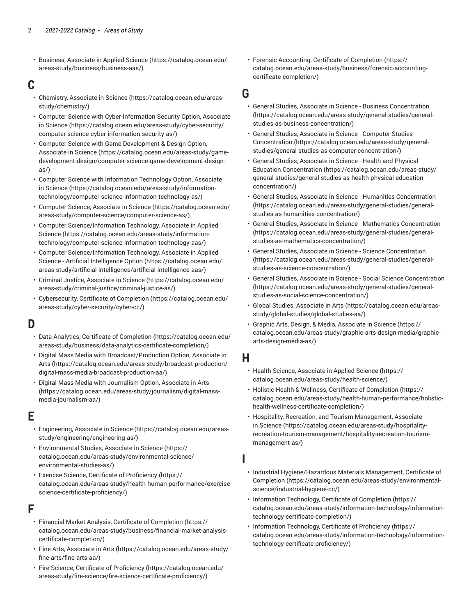• [Business, Associate in Applied Science](https://catalog.ocean.edu/areas-study/business/business-aas/) ([https://catalog.ocean.edu/](https://catalog.ocean.edu/areas-study/business/business-aas/) [areas-study/business/business-aas/\)](https://catalog.ocean.edu/areas-study/business/business-aas/)

#### **C**

- [Chemistry,](https://catalog.ocean.edu/areas-study/chemistry/) Associate in Science ([https://catalog.ocean.edu/areas](https://catalog.ocean.edu/areas-study/chemistry/)[study/chemistry/](https://catalog.ocean.edu/areas-study/chemistry/))
- [Computer Science with Cyber-Information Security Option, Associate](https://catalog.ocean.edu/areas-study/cyber-security/computer-science-cyber-information-security-as/) [in Science](https://catalog.ocean.edu/areas-study/cyber-security/computer-science-cyber-information-security-as/) ([https://catalog.ocean.edu/areas-study/cyber-security/](https://catalog.ocean.edu/areas-study/cyber-security/computer-science-cyber-information-security-as/) [computer-science-cyber-information-security-as/](https://catalog.ocean.edu/areas-study/cyber-security/computer-science-cyber-information-security-as/))
- Computer Science with Game [Development](https://catalog.ocean.edu/areas-study/game-development-design/computer-science-game-development-design-as/) & Design Option, [Associate in Science \(https://catalog.ocean.edu/areas-study/game](https://catalog.ocean.edu/areas-study/game-development-design/computer-science-game-development-design-as/)[development-design/computer-science-game-development-design](https://catalog.ocean.edu/areas-study/game-development-design/computer-science-game-development-design-as/)[as/\)](https://catalog.ocean.edu/areas-study/game-development-design/computer-science-game-development-design-as/)
- Computer Science with [Information](https://catalog.ocean.edu/areas-study/information-technology/computer-science-information-technology-as/) Technology Option, Associate [in Science](https://catalog.ocean.edu/areas-study/information-technology/computer-science-information-technology-as/) ([https://catalog.ocean.edu/areas-study/information](https://catalog.ocean.edu/areas-study/information-technology/computer-science-information-technology-as/)[technology/computer-science-information-technology-as/\)](https://catalog.ocean.edu/areas-study/information-technology/computer-science-information-technology-as/)
- [Computer Science, Associate in Science](https://catalog.ocean.edu/areas-study/computer-science/computer-science-as/) ([https://catalog.ocean.edu/](https://catalog.ocean.edu/areas-study/computer-science/computer-science-as/) [areas-study/computer-science/computer-science-as/\)](https://catalog.ocean.edu/areas-study/computer-science/computer-science-as/)
- Computer [Science/Information](https://catalog.ocean.edu/areas-study/information-technology/computer-science-information-technology-aas/) Technology, Associate in Applied [Science](https://catalog.ocean.edu/areas-study/information-technology/computer-science-information-technology-aas/) [\(https://catalog.ocean.edu/areas-study/information](https://catalog.ocean.edu/areas-study/information-technology/computer-science-information-technology-aas/)[technology/computer-science-information-technology-aas/](https://catalog.ocean.edu/areas-study/information-technology/computer-science-information-technology-aas/))
- Computer [Science/Information](https://catalog.ocean.edu/areas-study/artificial-intelligence/artificial-intelligence-aas/) Technology, Associate in Applied Science - Artificial [Intelligence](https://catalog.ocean.edu/areas-study/artificial-intelligence/artificial-intelligence-aas/) Option [\(https://catalog.ocean.edu/](https://catalog.ocean.edu/areas-study/artificial-intelligence/artificial-intelligence-aas/) [areas-study/artificial-intelligence/artificial-intelligence-aas/](https://catalog.ocean.edu/areas-study/artificial-intelligence/artificial-intelligence-aas/))
- [Criminal Justice, Associate in Science](https://catalog.ocean.edu/areas-study/criminal-justice/criminal-justice-as/) ([https://catalog.ocean.edu/](https://catalog.ocean.edu/areas-study/criminal-justice/criminal-justice-as/) [areas-study/criminal-justice/criminal-justice-as/](https://catalog.ocean.edu/areas-study/criminal-justice/criminal-justice-as/))
- [Cybersecurity,](https://catalog.ocean.edu/areas-study/cyber-security/cyber-cc/) Certificate of Completion [\(https://catalog.ocean.edu/](https://catalog.ocean.edu/areas-study/cyber-security/cyber-cc/) [areas-study/cyber-security/cyber-cc/](https://catalog.ocean.edu/areas-study/cyber-security/cyber-cc/))

## **D**

- Data Analytics, Certificate of [Completion](https://catalog.ocean.edu/areas-study/business/data-analytics-certificate-completion/) ([https://catalog.ocean.edu/](https://catalog.ocean.edu/areas-study/business/data-analytics-certificate-completion/) [areas-study/business/data-analytics-certificate-completion/](https://catalog.ocean.edu/areas-study/business/data-analytics-certificate-completion/))
- Digital Mass Media with [Broadcast/Production](https://catalog.ocean.edu/areas-study/broadcast-production/digital-mass-media-broadcast-production-aa/) Option, Associate in [Arts](https://catalog.ocean.edu/areas-study/broadcast-production/digital-mass-media-broadcast-production-aa/) ([https://catalog.ocean.edu/areas-study/broadcast-production/](https://catalog.ocean.edu/areas-study/broadcast-production/digital-mass-media-broadcast-production-aa/) [digital-mass-media-broadcast-production-aa/](https://catalog.ocean.edu/areas-study/broadcast-production/digital-mass-media-broadcast-production-aa/))
- Digital Mass Media with [Journalism](https://catalog.ocean.edu/areas-study/journalism/digital-mass-media-journalism-aa/) Option, Associate in Arts ([https://catalog.ocean.edu/areas-study/journalism/digital-mass](https://catalog.ocean.edu/areas-study/journalism/digital-mass-media-journalism-aa/)[media-journalism-aa/\)](https://catalog.ocean.edu/areas-study/journalism/digital-mass-media-journalism-aa/)

### **E**

- [Engineering, Associate in Science \(https://catalog.ocean.edu/areas](https://catalog.ocean.edu/areas-study/engineering/engineering-as/)[study/engineering/engineering-as/](https://catalog.ocean.edu/areas-study/engineering/engineering-as/))
- [Environmental](https://catalog.ocean.edu/areas-study/environmental-science/environmental-studies-as/) Studies, Associate in Science [\(https://](https://catalog.ocean.edu/areas-study/environmental-science/environmental-studies-as/) [catalog.ocean.edu/areas-study/environmental-science/](https://catalog.ocean.edu/areas-study/environmental-science/environmental-studies-as/) [environmental-studies-as/](https://catalog.ocean.edu/areas-study/environmental-science/environmental-studies-as/))
- Exercise Science, Certificate of [Proficiency](https://catalog.ocean.edu/areas-study/health-human-performance/exercise-science-certificate-proficiency/) [\(https://](https://catalog.ocean.edu/areas-study/health-human-performance/exercise-science-certificate-proficiency/) [catalog.ocean.edu/areas-study/health-human-performance/exercise](https://catalog.ocean.edu/areas-study/health-human-performance/exercise-science-certificate-proficiency/)[science-certificate-proficiency/\)](https://catalog.ocean.edu/areas-study/health-human-performance/exercise-science-certificate-proficiency/)

#### **F**

- Financial Market Analysis, Certificate of [Completion](https://catalog.ocean.edu/areas-study/business/financial-market-analysis-certificate-completion/) [\(https://](https://catalog.ocean.edu/areas-study/business/financial-market-analysis-certificate-completion/) [catalog.ocean.edu/areas-study/business/financial-market-analysis](https://catalog.ocean.edu/areas-study/business/financial-market-analysis-certificate-completion/)[certificate-completion/](https://catalog.ocean.edu/areas-study/business/financial-market-analysis-certificate-completion/))
- Fine Arts, [Associate](https://catalog.ocean.edu/areas-study/fine-arts/fine-arts-aa/) in Arts ([https://catalog.ocean.edu/areas-study/](https://catalog.ocean.edu/areas-study/fine-arts/fine-arts-aa/) [fine-arts/fine-arts-aa/\)](https://catalog.ocean.edu/areas-study/fine-arts/fine-arts-aa/)
- Fire Science, Certificate of [Proficiency \(https://catalog.ocean.edu/](https://catalog.ocean.edu/areas-study/fire-science/fire-science-certificate-proficiency/) [areas-study/fire-science/fire-science-certificate-proficiency/](https://catalog.ocean.edu/areas-study/fire-science/fire-science-certificate-proficiency/))

• Forensic [Accounting,](https://catalog.ocean.edu/areas-study/business/forensic-accounting-certificate-completion/) Certificate of Completion [\(https://](https://catalog.ocean.edu/areas-study/business/forensic-accounting-certificate-completion/) [catalog.ocean.edu/areas-study/business/forensic-accounting](https://catalog.ocean.edu/areas-study/business/forensic-accounting-certificate-completion/)[certificate-completion/](https://catalog.ocean.edu/areas-study/business/forensic-accounting-certificate-completion/))

#### **G**

- [General Studies, Associate in Science Business Concentration](https://catalog.ocean.edu/areas-study/general-studies/general-studies-as-business-concentration/) [\(https://catalog.ocean.edu/areas-study/general-studies/general](https://catalog.ocean.edu/areas-study/general-studies/general-studies-as-business-concentration/)[studies-as-business-concentration/\)](https://catalog.ocean.edu/areas-study/general-studies/general-studies-as-business-concentration/)
- [General Studies, Associate in Science Computer Studies](https://catalog.ocean.edu/areas-study/general-studies/general-studies-as-computer-concentration/) [Concentration](https://catalog.ocean.edu/areas-study/general-studies/general-studies-as-computer-concentration/) ([https://catalog.ocean.edu/areas-study/general](https://catalog.ocean.edu/areas-study/general-studies/general-studies-as-computer-concentration/)[studies/general-studies-as-computer-concentration/\)](https://catalog.ocean.edu/areas-study/general-studies/general-studies-as-computer-concentration/)
- [General Studies, Associate in Science Health and Physical](https://catalog.ocean.edu/areas-study/general-studies/general-studies-as-health-physical-education-concentration/) Education [Concentration](https://catalog.ocean.edu/areas-study/general-studies/general-studies-as-health-physical-education-concentration/) [\(https://catalog.ocean.edu/areas-study/](https://catalog.ocean.edu/areas-study/general-studies/general-studies-as-health-physical-education-concentration/) [general-studies/general-studies-as-health-physical-education](https://catalog.ocean.edu/areas-study/general-studies/general-studies-as-health-physical-education-concentration/)[concentration/\)](https://catalog.ocean.edu/areas-study/general-studies/general-studies-as-health-physical-education-concentration/)
- [General Studies, Associate in Science Humanities Concentration](https://catalog.ocean.edu/areas-study/general-studies/general-studies-as-humanities-concentration/) [\(https://catalog.ocean.edu/areas-study/general-studies/general](https://catalog.ocean.edu/areas-study/general-studies/general-studies-as-humanities-concentration/)[studies-as-humanities-concentration/\)](https://catalog.ocean.edu/areas-study/general-studies/general-studies-as-humanities-concentration/)
- [General Studies, Associate in Science Mathematics Concentration](https://catalog.ocean.edu/areas-study/general-studies/general-studies-as-mathematics-concentration/) [\(https://catalog.ocean.edu/areas-study/general-studies/general](https://catalog.ocean.edu/areas-study/general-studies/general-studies-as-mathematics-concentration/)[studies-as-mathematics-concentration/\)](https://catalog.ocean.edu/areas-study/general-studies/general-studies-as-mathematics-concentration/)
- [General Studies, Associate in Science Science Concentration](https://catalog.ocean.edu/areas-study/general-studies/general-studies-as-science-concentration/) [\(https://catalog.ocean.edu/areas-study/general-studies/general](https://catalog.ocean.edu/areas-study/general-studies/general-studies-as-science-concentration/)[studies-as-science-concentration/](https://catalog.ocean.edu/areas-study/general-studies/general-studies-as-science-concentration/))
- [General Studies, Associate in Science Social Science Concentration](https://catalog.ocean.edu/areas-study/general-studies/general-studies-as-social-science-concentration/) [\(https://catalog.ocean.edu/areas-study/general-studies/general](https://catalog.ocean.edu/areas-study/general-studies/general-studies-as-social-science-concentration/)[studies-as-social-science-concentration/\)](https://catalog.ocean.edu/areas-study/general-studies/general-studies-as-social-science-concentration/)
- Global Studies, [Associate](https://catalog.ocean.edu/areas-study/global-studies/global-studies-aa/) in Arts ([https://catalog.ocean.edu/areas](https://catalog.ocean.edu/areas-study/global-studies/global-studies-aa/)[study/global-studies/global-studies-aa/\)](https://catalog.ocean.edu/areas-study/global-studies/global-studies-aa/)
- Graphic Arts, Design, & Media, [Associate](https://catalog.ocean.edu/areas-study/graphic-arts-design-media/graphic-arts-design-media-as/) in Science [\(https://](https://catalog.ocean.edu/areas-study/graphic-arts-design-media/graphic-arts-design-media-as/) [catalog.ocean.edu/areas-study/graphic-arts-design-media/graphic](https://catalog.ocean.edu/areas-study/graphic-arts-design-media/graphic-arts-design-media-as/)[arts-design-media-as/](https://catalog.ocean.edu/areas-study/graphic-arts-design-media/graphic-arts-design-media-as/))

#### **H**

**I**

- [Health Science, Associate in Applied Science \(https://](https://catalog.ocean.edu/areas-study/health-science/) [catalog.ocean.edu/areas-study/health-science/](https://catalog.ocean.edu/areas-study/health-science/))
- Holistic Health & Wellness, Certificate of [Completion \(https://](https://catalog.ocean.edu/areas-study/health-human-performance/holistic-health-wellness-certificate-completion/) [catalog.ocean.edu/areas-study/health-human-performance/holistic](https://catalog.ocean.edu/areas-study/health-human-performance/holistic-health-wellness-certificate-completion/)[health-wellness-certificate-completion/\)](https://catalog.ocean.edu/areas-study/health-human-performance/holistic-health-wellness-certificate-completion/)
- Hospitality, Recreation, and Tourism [Management,](https://catalog.ocean.edu/areas-study/hospitality-recreation-tourism-management/hospitality-recreation-tourism-management-as/) Associate [in Science](https://catalog.ocean.edu/areas-study/hospitality-recreation-tourism-management/hospitality-recreation-tourism-management-as/) [\(https://catalog.ocean.edu/areas-study/hospitality](https://catalog.ocean.edu/areas-study/hospitality-recreation-tourism-management/hospitality-recreation-tourism-management-as/)[recreation-tourism-management/hospitality-recreation-tourism](https://catalog.ocean.edu/areas-study/hospitality-recreation-tourism-management/hospitality-recreation-tourism-management-as/)[management-as/](https://catalog.ocean.edu/areas-study/hospitality-recreation-tourism-management/hospitality-recreation-tourism-management-as/))
- Industrial [Hygiene/Hazardous](https://catalog.ocean.edu/areas-study/environmental-science/industrial-hygiene-cc/) Materials Management, Certificate of [Completion \(https://catalog.ocean.edu/areas-study/environmental](https://catalog.ocean.edu/areas-study/environmental-science/industrial-hygiene-cc/)[science/industrial-hygiene-cc/](https://catalog.ocean.edu/areas-study/environmental-science/industrial-hygiene-cc/))
- Information [Technology,](https://catalog.ocean.edu/areas-study/information-technology/information-technology-certificate-completion/) Certificate of Completion ([https://](https://catalog.ocean.edu/areas-study/information-technology/information-technology-certificate-completion/) [catalog.ocean.edu/areas-study/information-technology/information](https://catalog.ocean.edu/areas-study/information-technology/information-technology-certificate-completion/)[technology-certificate-completion/\)](https://catalog.ocean.edu/areas-study/information-technology/information-technology-certificate-completion/)
- Information [Technology,](https://catalog.ocean.edu/areas-study/information-technology/information-technology-certificate-proficiency/) Certificate of Proficiency ([https://](https://catalog.ocean.edu/areas-study/information-technology/information-technology-certificate-proficiency/) [catalog.ocean.edu/areas-study/information-technology/information](https://catalog.ocean.edu/areas-study/information-technology/information-technology-certificate-proficiency/)[technology-certificate-proficiency/\)](https://catalog.ocean.edu/areas-study/information-technology/information-technology-certificate-proficiency/)